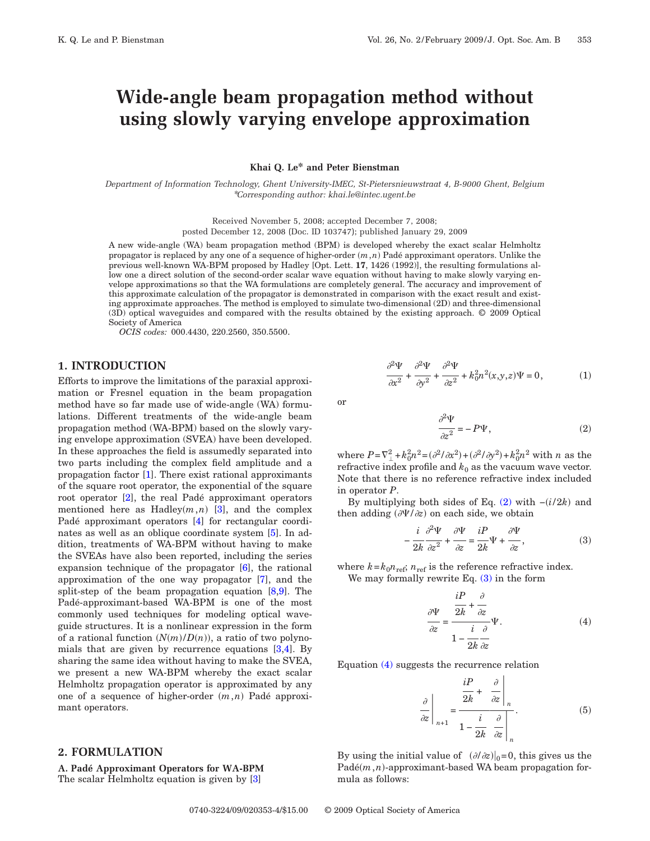# **Wide-angle beam propagation method without using slowly varying envelope approximation**

**Khai Q. Le\* and Peter Bienstman**

*Department of Information Technology, Ghent University-IMEC, St-Pietersnieuwstraat 4, B-9000 Ghent, Belgium* \**Corresponding author: khai.le@intec.ugent.be*

Received November 5, 2008; accepted December 7, 2008;

posted December 12, 2008 (Doc. ID 103747); published January 29, 2009

A new wide-angle (WA) beam propagation method (BPM) is developed whereby the exact scalar Helmholtz propagator is replaced by any one of a sequence of higher-order  $(m, n)$  Padé approximant operators. Unlike the previous well-known WA-BPM proposed by Hadley [Opt. Lett. **17**, 1426 (1992)], the resulting formulations allow one a direct solution of the second-order scalar wave equation without having to make slowly varying envelope approximations so that the WA formulations are completely general. The accuracy and improvement of this approximate calculation of the propagator is demonstrated in comparison with the exact result and existing approximate approaches. The method is employed to simulate two-dimensional (2D) and three-dimensional (3D) optical waveguides and compared with the results obtained by the existing approach. © 2009 Optical Society of America

*OCIS codes:* 000.4430, 220.2560, 350.5500.

## **1. INTRODUCTION**

Efforts to improve the limitations of the paraxial approximation or Fresnel equation in the beam propagation method have so far made use of wide-angle (WA) formulations. Different treatments of the wide-angle beam propagation method (WA-BPM) based on the slowly varying envelope approximation (SVEA) have been developed. In these approaches the field is assumedly separated into two parts including the complex field amplitude and a propagation factor [\[1\]](#page-3-0). There exist rational approximants of the square root operator, the exponential of the square root operator [\[2\]](#page-3-1), the real Padé approximant operators mentioned here as Hadley $(m, n)$  [\[3\]](#page-3-2), and the complex Padé approximant operators [\[4\]](#page-3-3) for rectangular coordi-nates as well as an oblique coordinate system [\[5\]](#page-3-4). In addition, treatments of WA-BPM without having to make the SVEAs have also been reported, including the series expansion technique of the propagator [\[6\]](#page-3-5), the rational approximation of the one way propagator [\[7\]](#page-3-6), and the split-step of the beam propagation equation  $[8,9]$  $[8,9]$ . The Padé-approximant-based WA-BPM is one of the most commonly used techniques for modeling optical waveguide structures. It is a nonlinear expression in the form of a rational function  $(N(m)/D(n))$ , a ratio of two polynomials that are given by recurrence equations [\[3,](#page-3-2)[4\]](#page-3-3). By sharing the same idea without having to make the SVEA, we present a new WA-BPM whereby the exact scalar Helmholtz propagation operator is approximated by any one of a sequence of higher-order  $(m, n)$  Padé approximant operators.

# **2. FORMULATION**

**A. Padé Approximant Operators for WA-BPM** The scalar Helmholtz equation is given by [\[3\]](#page-3-2)

$$
\frac{\partial^2 \Psi}{\partial x^2} + \frac{\partial^2 \Psi}{\partial y^2} + \frac{\partial^2 \Psi}{\partial z^2} + k_0^2 n^2(x, y, z) \Psi = 0, \tag{1}
$$

<span id="page-0-0"></span>
$$
\overline{\text{or}}
$$

$$
\frac{\partial^2 \Psi}{\partial z^2} = -P\Psi,\tag{2}
$$

where  $P = \nabla_{\perp}^2 + k_0^2 n^2 = (\partial^2 / \partial x^2) + (\partial^2 / \partial y^2) + k_0^2 n^2$  with *n* as the refractive index profile and  $k_0$  as the vacuum wave vector. Note that there is no reference refractive index included in operator *P*.

<span id="page-0-1"></span>By multiplying both sides of Eq.  $(2)$  with  $-(i/2k)$  and then adding  $(\partial \Psi / \partial z)$  on each side, we obtain

$$
-\frac{i}{2k}\frac{\partial^2 \Psi}{\partial z^2} + \frac{\partial \Psi}{\partial z} = \frac{iP}{2k}\Psi + \frac{\partial \Psi}{\partial z},
$$
 (3)

<span id="page-0-2"></span>where  $k = k_0 n_{\text{ref}}$ ;  $n_{\text{ref}}$  is the reference refractive index. We may formally rewrite Eq. [\(3\)](#page-0-1) in the form

$$
\frac{\partial \Psi}{\partial z} = \frac{\frac{i}{2k} + \frac{\partial}{\partial z}}{1 - \frac{i}{2k} \frac{\partial}{\partial z}} \Psi.
$$
\n(4)

Equation [\(4\)](#page-0-2) suggests the recurrence relation

$$
\frac{\partial}{\partial z}\Big|_{n+1} = \frac{\frac{iP}{2k} + \left.\frac{\partial}{\partial z}\right|_n}{1 - \frac{i}{2k} \left.\frac{\partial}{\partial z}\right|_n}.
$$
\n(5)

By using the initial value of  $(\partial/\partial z)|_0 = 0$ , this gives us the Padé(*m*,*n*)-approximant-based WA beam propagation formula as follows: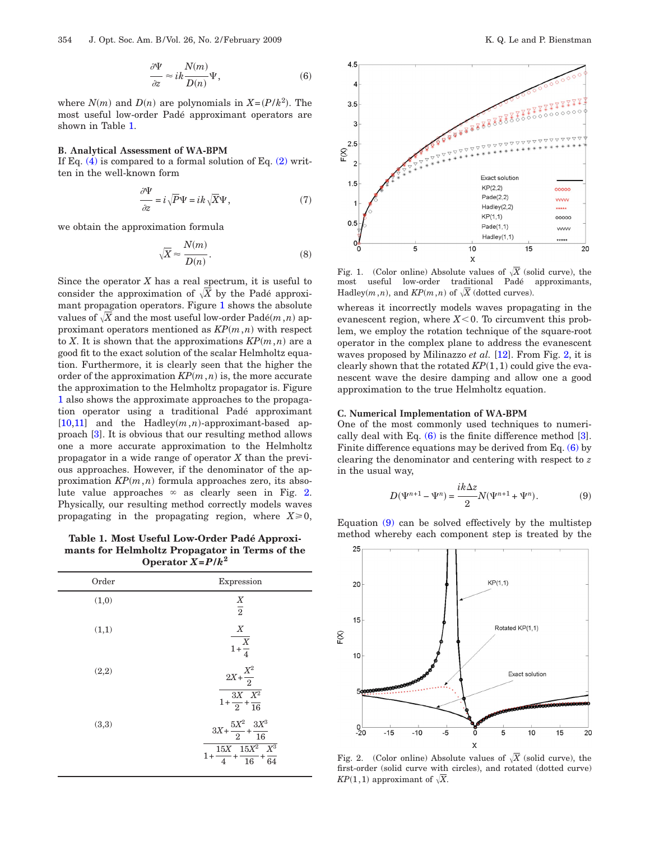$$
\frac{\partial \Psi}{\partial z} \approx i k \frac{N(m)}{D(n)} \Psi,
$$
\n(6)

<span id="page-1-3"></span>where  $N(m)$  and  $D(n)$  are polynomials in  $X = (P/k^2)$ . The most useful low-order Padé approximant operators are shown in Table [1.](#page-1-0)

## **B. Analytical Assessment of WA-BPM**

If Eq.  $(4)$  is compared to a formal solution of Eq.  $(2)$  written in the well-known form

$$
\frac{\partial \Psi}{\partial z} = i \sqrt{P} \Psi = ik \sqrt{X} \Psi,
$$
\n(7)

we obtain the approximation formula

$$
\sqrt{X} \approx \frac{N(m)}{D(n)}.\tag{8}
$$

Since the operator  $X$  has a real spectrum, it is useful to consider the approximation of  $\sqrt{X}$  by the Padé approximant propagation operators. Figure [1](#page-1-1) shows the absolute values of  $\sqrt{X}$  and the most useful low-order  $\text{Pad}(m,n)$  approximant operators mentioned as  $KP(m, n)$  with respect to *X*. It is shown that the approximations  $KP(m, n)$  are a good fit to the exact solution of the scalar Helmholtz equation. Furthermore, it is clearly seen that the higher the order of the approximation  $KP(m, n)$  is, the more accurate the approximation to the Helmholtz propagator is. Figure [1](#page-1-1) also shows the approximate approaches to the propagation operator using a traditional Padé approximant  $[10,11]$  $[10,11]$  and the Hadley $(m, n)$ -approximant-based approach [\[3\]](#page-3-2). It is obvious that our resulting method allows one a more accurate approximation to the Helmholtz propagator in a wide range of operator *X* than the previous approaches. However, if the denominator of the approximation  $KP(m, n)$  formula approaches zero, its absolute value approaches  $\infty$  as clearly seen in Fig. [2.](#page-1-2) Physically, our resulting method correctly models waves propagating in the propagating region, where  $X \ge 0$ ,

<span id="page-1-0"></span>**mants for Helmholtz Propagator in Terms of the Operator**  $X = P/k^2$ 

| Order | Expression                                                                                                      |
|-------|-----------------------------------------------------------------------------------------------------------------|
| (1,0) | $\frac{X}{2}$                                                                                                   |
| (1,1) | X<br>$\frac{X}{1+\frac{X}{4}}$                                                                                  |
| (2,2) | $2X+\frac{X^2}{2}$<br>$\frac{3X}{1+\frac{X^2}{2}+\frac{X^2}{16}}$                                               |
| (3,3) | $3X + \frac{5X^2}{2} + \frac{3X^3}{16}$<br>$15X$ $15X^2$ $X^3$<br>$1+\frac{222}{4}+\frac{222}{16}+\frac{2}{64}$ |

<span id="page-1-1"></span>

Fig. 1. (Color online) Absolute values of  $\sqrt{X}$  (solid curve), the most useful low-order traditional Padé approximants, Hadley $(m, n)$ , and  $KP(m, n)$  of  $\sqrt{X}$  (dotted curves).

whereas it incorrectly models waves propagating in the evanescent region, where  $X<0$ . To circumvent this problem, we employ the rotation technique of the square-root operator in the complex plane to address the evanescent waves proposed by Milinazzo *et al.* [\[12\]](#page-3-11). From Fig. [2,](#page-1-2) it is clearly shown that the rotated  $KP(1,1)$  could give the evanescent wave the desire damping and allow one a good approximation to the true Helmholtz equation.

#### **C. Numerical Implementation of WA-BPM**

<span id="page-1-4"></span>One of the most commonly used techniques to numerically deal with Eq.  $(6)$  is the finite difference method  $[3]$ . Finite difference equations may be derived from Eq. [\(6\)](#page-1-3) by clearing the denominator and centering with respect to *z* in the usual way,

$$
D(\Psi^{n+1} - \Psi^n) = \frac{ik\Delta z}{2} N(\Psi^{n+1} + \Psi^n).
$$
 (9)

Equation [\(9\)](#page-1-4) can be solved effectively by the multistep Table 1. Most Useful Low-Order Padé Approxi-<br>
<u>method</u> whereby each component step is treated by the

<span id="page-1-2"></span>

Fig. 2. (Color online) Absolute values of  $\sqrt{X}$  (solid curve), the first-order (solid curve with circles), and rotated (dotted curve) *KP*(1,1) approximant of  $\sqrt{X}$ .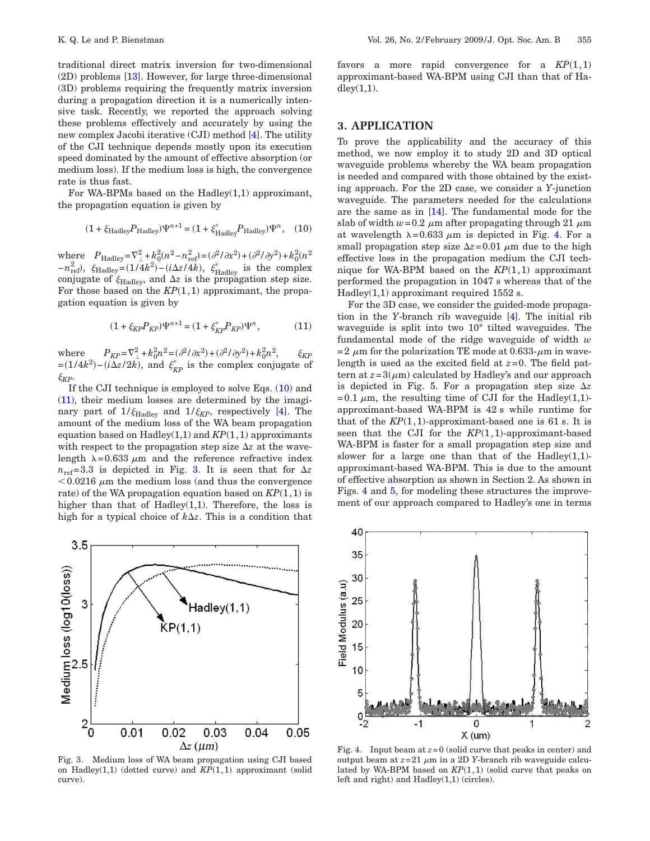traditional direct matrix inversion for two-dimensional (2D) problems [\[13\]](#page-3-12). However, for large three-dimensional (3D) problems requiring the frequently matrix inversion during a propagation direction it is a numerically intensive task. Recently, we reported the approach solving these problems effectively and accurately by using the new complex Jacobi iterative (CJI) method [\[4\]](#page-3-3). The utility of the CJI technique depends mostly upon its execution speed dominated by the amount of effective absorption (or medium loss). If the medium loss is high, the convergence rate is thus fast.

<span id="page-2-0"></span>For WA-BPMs based on the Hadley(1,1) approximant, the propagation equation is given by

$$
(1 + \xi_{\text{Hadley}} P_{\text{Hadley}}) \Psi^{n+1} = (1 + \xi_{\text{Hadley}}^* P_{\text{Hadley}}) \Psi^n, (10)
$$

where  $P_{\text{Hadley}} = \nabla_{\perp}^2 + k_0^2 (n^2 - n_{\text{ref}}^2) = (\partial^2 / \partial x^2) + (\partial^2 / \partial y^2) + k_0^2 (n^2)$  $-n_{\text{ref}}^2$ ,  $\xi_{\text{Hadley}} = (1/4k^2) - (i\Delta z/4k)$ ,  $\xi_{\text{Hadley}}^*$  is the complex conjugate of  $\xi_{\text{Hadley}}$ , and  $\Delta z$  is the propagation step size. For those based on the  $KP(1,1)$  approximant, the propagation equation is given by

$$
(1 + \xi_{KP} P_{KP}) \Psi^{n+1} = (1 + \xi_{KP}^* P_{KP}) \Psi^n, \tag{11}
$$

<span id="page-2-1"></span>where  $P_{KP} = \nabla^2 + k_0^2 n^2 = (\partial^2 / \partial x^2) + (\partial^2 / \partial y^2) + k_0^2 n^2$ ,  $\xi_{KP}$  $=(1/4k^2)-(i\Delta z/2k)$ , and  $\xi_{KP}^*$  is the complex conjugate of  $\xi_{\!K\!P}$ .

If the CJI technique is employed to solve Eqs.  $(10)$  and [\(11\),](#page-2-1) their medium losses are determined by the imaginary part of  $1/\xi_{\text{Hadley}}$  and  $1/\xi_{\text{KP}}$ , respectively [\[4\]](#page-3-3). The amount of the medium loss of the WA beam propagation equation based on  $Hadley(1,1)$  and  $KP(1,1)$  approximants with respect to the propagation step size  $\Delta z$  at the wavelength  $\lambda = 0.633 \mu m$  and the reference refractive index  $n_{\text{ref}} = 3.3$  $n_{\text{ref}} = 3.3$  $n_{\text{ref}} = 3.3$  is depicted in Fig. 3. It is seen that for  $\Delta z$  $0.0216 \mu m$  the medium loss (and thus the convergence rate) of the WA propagation equation based on  $KP(1,1)$  is higher than that of Hadley $(1,1)$ . Therefore, the loss is high for a typical choice of  $k\Delta z$ . This is a condition that

<span id="page-2-2"></span>

Fig. 3. Medium loss of WA beam propagation using CJI based on Hadley $(1,1)$  (dotted curve) and  $KP(1,1)$  approximant (solid curve).

favors a more rapid convergence for a  $KP(1,1)$ approximant-based WA-BPM using CJI than that of Ha $dley(1,1)$ .

## **3. APPLICATION**

To prove the applicability and the accuracy of this method, we now employ it to study 2D and 3D optical waveguide problems whereby the WA beam propagation is needed and compared with those obtained by the existing approach. For the 2D case, we consider a *Y*-junction waveguide. The parameters needed for the calculations are the same as in [\[14\]](#page-3-13). The fundamental mode for the slab of width  $w=0.2 \mu m$  after propagating through 21  $\mu m$ at wavelength  $\lambda = 0.633 \mu m$  is depicted in Fig. [4.](#page-2-3) For a small propagation step size  $\Delta z = 0.01 \mu m$  due to the high effective loss in the propagation medium the CJI technique for WA-BPM based on the  $KP(1,1)$  approximant performed the propagation in 1047 s whereas that of the Hadley $(1,1)$  approximant required 1552 s.

For the 3D case, we consider the guided-mode propagation in the *Y*-branch rib waveguide [\[4\]](#page-3-3). The initial rib waveguide is split into two 10° tilted waveguides. The fundamental mode of the ridge waveguide of width *w* =2  $\mu$ m for the polarization TE mode at 0.633- $\mu$ m in wavelength is used as the excited field at *z*=0. The field pattern at  $z = 3(\mu m)$  calculated by Hadley's and our approach is depicted in Fig. [5.](#page-3-14) For a propagation step size  $\Delta z$ =0.1  $\mu$ m, the resulting time of CJI for the Hadley(1,1)approximant-based WA-BPM is 42 s while runtime for that of the  $KP(1,1)$ -approximant-based one is 61 s. It is seen that the CJI for the  $KP(1,1)$ -approximant-based WA-BPM is faster for a small propagation step size and slower for a large one than that of the Hadley $(1,1)$ approximant-based WA-BPM. This is due to the amount of effective absorption as shown in Section 2. As shown in Figs. [4](#page-2-3) and [5,](#page-3-14) for modeling these structures the improvement of our approach compared to Hadley's one in terms

<span id="page-2-3"></span>

Fig. 4. Input beam at  $z=0$  (solid curve that peaks in center) and output beam at  $z=21 \mu m$  in a 2D *Y*-branch rib waveguide calculated by WA-BPM based on  $KP(1,1)$  (solid curve that peaks on left and right) and Hadley(1,1) (circles).